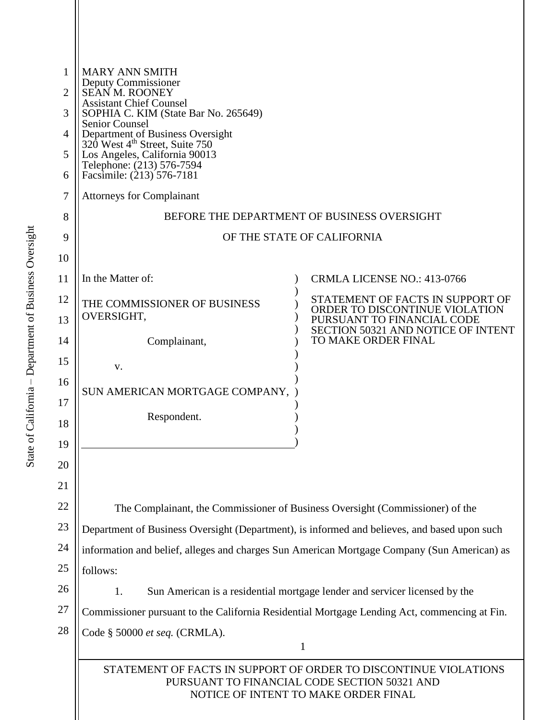| 1<br>2<br>3<br>4<br>5<br>6 | <b>MARY ANN SMITH</b><br>Deputy Commissioner<br><b>SEAN M. ROONEY</b><br><b>Assistant Chief Counsel</b><br>SOPHIA C. KIM (State Bar No. 265649)<br><b>Senior Counsel</b><br>Department of Business Oversight<br>320 West 4 <sup>th</sup> Street, Suite 750<br>Los Angeles, California 90013<br>Telephone: (213) 576-7594<br>Facsimile: (213) 576-7181 |                                                                                                    |
|----------------------------|-------------------------------------------------------------------------------------------------------------------------------------------------------------------------------------------------------------------------------------------------------------------------------------------------------------------------------------------------------|----------------------------------------------------------------------------------------------------|
| 7                          | <b>Attorneys for Complainant</b>                                                                                                                                                                                                                                                                                                                      |                                                                                                    |
| 8                          | BEFORE THE DEPARTMENT OF BUSINESS OVERSIGHT                                                                                                                                                                                                                                                                                                           |                                                                                                    |
| 9                          | OF THE STATE OF CALIFORNIA                                                                                                                                                                                                                                                                                                                            |                                                                                                    |
| 10                         |                                                                                                                                                                                                                                                                                                                                                       |                                                                                                    |
| 11                         | In the Matter of:                                                                                                                                                                                                                                                                                                                                     | <b>CRMLA LICENSE NO.: 413-0766</b>                                                                 |
| 12                         | THE COMMISSIONER OF BUSINESS                                                                                                                                                                                                                                                                                                                          | STATEMENT OF FACTS IN SUPPORT OF                                                                   |
| 13                         | OVERSIGHT,                                                                                                                                                                                                                                                                                                                                            | ORDER TO DISCONTINUE VIOLATION<br>PURSUANT TO FINANCIAL CODE<br>SECTION 50321 AND NOTICE OF INTENT |
| 14                         | Complainant,                                                                                                                                                                                                                                                                                                                                          | TO MAKE ORDER FINAL                                                                                |
| 15                         | v.                                                                                                                                                                                                                                                                                                                                                    |                                                                                                    |
| 16                         | SUN AMERICAN MORTGAGE COMPANY,                                                                                                                                                                                                                                                                                                                        |                                                                                                    |
| 17                         |                                                                                                                                                                                                                                                                                                                                                       |                                                                                                    |
| 18                         | Respondent.                                                                                                                                                                                                                                                                                                                                           |                                                                                                    |
| 19                         |                                                                                                                                                                                                                                                                                                                                                       |                                                                                                    |
| 20                         |                                                                                                                                                                                                                                                                                                                                                       |                                                                                                    |
| 21                         |                                                                                                                                                                                                                                                                                                                                                       |                                                                                                    |
| 22                         | The Complainant, the Commissioner of Business Oversight (Commissioner) of the                                                                                                                                                                                                                                                                         |                                                                                                    |
| 23                         | Department of Business Oversight (Department), is informed and believes, and based upon such                                                                                                                                                                                                                                                          |                                                                                                    |
| 24                         | information and belief, alleges and charges Sun American Mortgage Company (Sun American) as                                                                                                                                                                                                                                                           |                                                                                                    |
| 25                         | follows:                                                                                                                                                                                                                                                                                                                                              |                                                                                                    |
| 26                         | Sun American is a residential mortgage lender and servicer licensed by the<br>1.                                                                                                                                                                                                                                                                      |                                                                                                    |
| 27                         | Commissioner pursuant to the California Residential Mortgage Lending Act, commencing at Fin.                                                                                                                                                                                                                                                          |                                                                                                    |
| 28                         | Code § 50000 et seq. (CRMLA).                                                                                                                                                                                                                                                                                                                         |                                                                                                    |
|                            | $\mathbf{1}$<br>STATEMENT OF FACTS IN SUPPORT OF ORDER TO DISCONTINUE VIOLATIONS<br>PURSUANT TO FINANCIAL CODE SECTION 50321 AND<br>NOTICE OF INTENT TO MAKE ORDER FINAL                                                                                                                                                                              |                                                                                                    |
|                            |                                                                                                                                                                                                                                                                                                                                                       |                                                                                                    |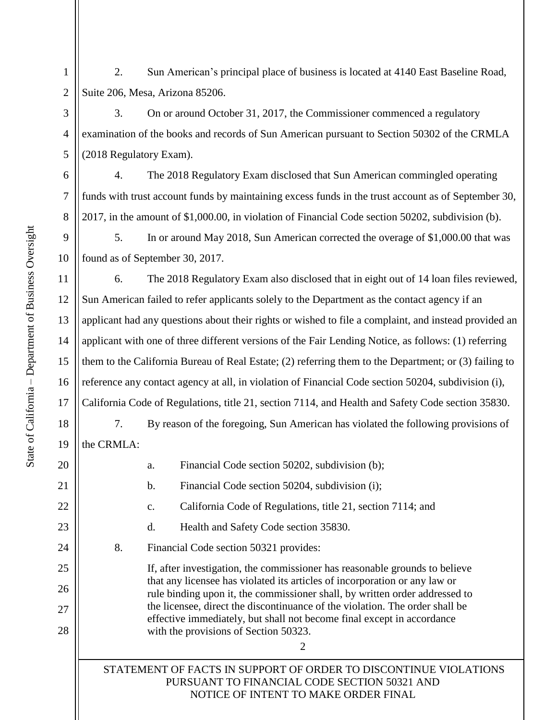1

2

3

4

5

6

7

8

11

12

13

15

17

18

19

20

21

22

23

24

25

26

27

28

2. Sun American's principal place of business is located at 4140 East Baseline Road, Suite 206, Mesa, Arizona 85206.

3. On or around October 31, 2017, the Commissioner commenced a regulatory examination of the books and records of Sun American pursuant to Section 50302 of the CRMLA (2018 Regulatory Exam).

4. The 2018 Regulatory Exam disclosed that Sun American commingled operating funds with trust account funds by maintaining excess funds in the trust account as of September 30, 2017, in the amount of \$1,000.00, in violation of Financial Code section 50202, subdivision (b).

9 10 5. In or around May 2018, Sun American corrected the overage of \$1,000.00 that was found as of September 30, 2017.

14 16 6. The 2018 Regulatory Exam also disclosed that in eight out of 14 loan files reviewed, Sun American failed to refer applicants solely to the Department as the contact agency if an applicant had any questions about their rights or wished to file a complaint, and instead provided an applicant with one of three different versions of the Fair Lending Notice, as follows: (1) referring them to the California Bureau of Real Estate; (2) referring them to the Department; or (3) failing to reference any contact agency at all, in violation of Financial Code section 50204, subdivision (i), California Code of Regulations, title 21, section 7114, and Health and Safety Code section 35830.

7. By reason of the foregoing, Sun American has violated the following provisions of the CRMLA:

a. Financial Code section 50202, subdivision (b);

b. Financial Code section 50204, subdivision (i);

c. California Code of Regulations, title 21, section 7114; and

d. Health and Safety Code section 35830.

8. Financial Code section 50321 provides:

If, after investigation, the commissioner has reasonable grounds to believe that any licensee has violated its articles of incorporation or any law or rule binding upon it, the commissioner shall, by written order addressed to the licensee, direct the discontinuance of the violation. The order shall be effective immediately, but shall not become final except in accordance with the provisions of [Section 50323.](https://advance.lexis.com/search/?pdmfid=1000516&crid=2c1d1bae-e9e8-481d-b7cb-e46c98a8dced&pdsearchterms=cal+fin+code+50321&pdstartin=hlct%3A1%3A1&pdtypeofsearch=searchboxclick&pdsearchtype=SearchBox&pdqttype=or&pdquerytemplateid=&ecomp=5gd6k&prid=cd07fcfb-5d6d-4b7f-9a6d-aca7ff0478a3)

2

STATEMENT OF FACTS IN SUPPORT OF ORDER TO DISCONTINUE VIOLATIONS PURSUANT TO FINANCIAL CODE SECTION 50321 AND NOTICE OF INTENT TO MAKE ORDER FINAL